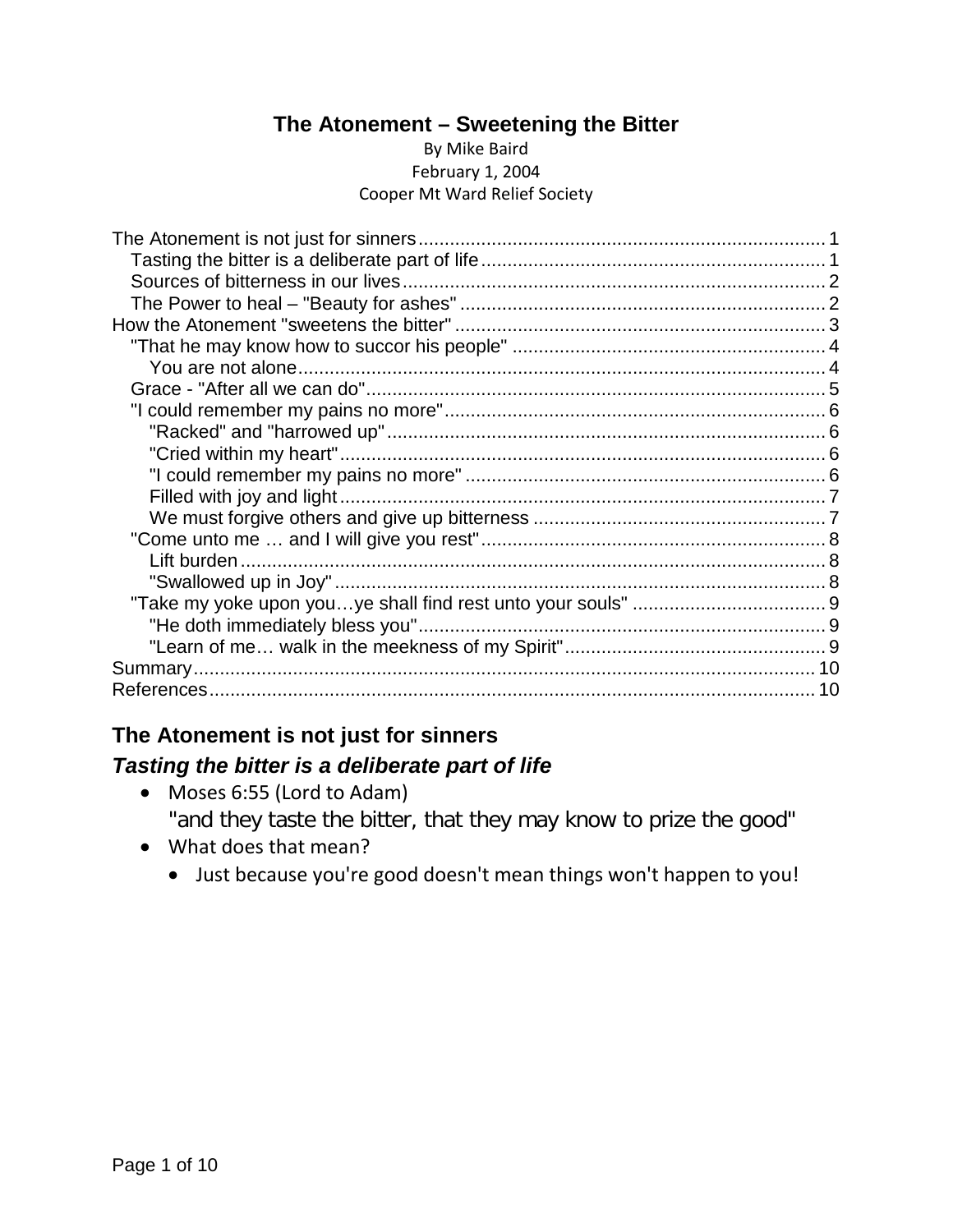### **The Atonement – Sweetening the Bitter**

#### By Mike Baird February 1, 2004 Cooper Mt Ward Relief Society

## <span id="page-0-1"></span><span id="page-0-0"></span>**The Atonement is not just for sinners** *Tasting the bitter is a deliberate part of life*

- Moses 6:55 (Lord to Adam) "and they taste the bitter, that they may know to prize the good"
- What does that mean?
	- Just because you're good doesn't mean things won't happen to you!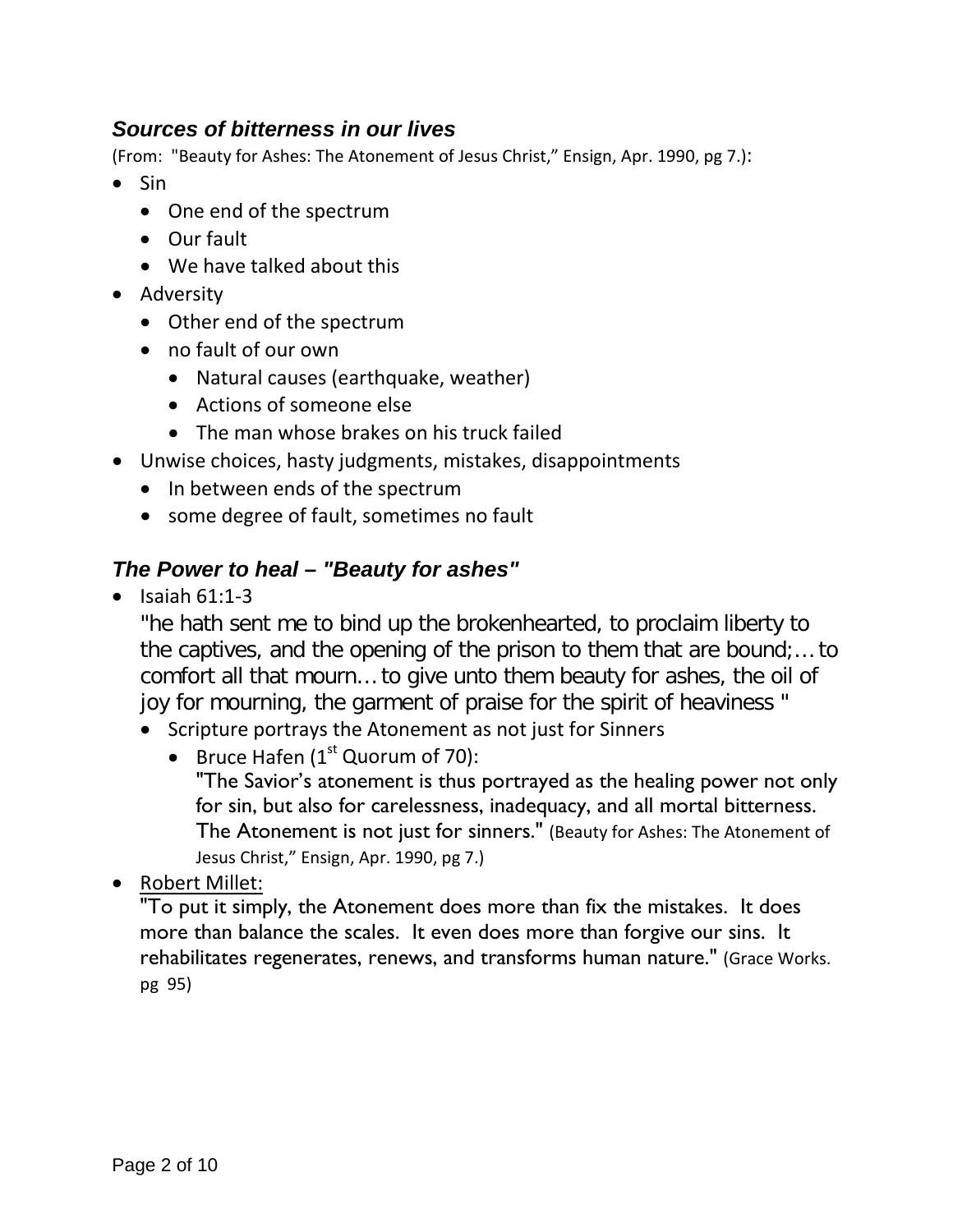## <span id="page-1-0"></span>*Sources of bitterness in our lives*

(From: "Beauty for Ashes: The Atonement of Jesus Christ," Ensign, Apr. 1990, pg 7.):

- Sin
	- One end of the spectrum
	- Our fault
	- We have talked about this
- Adversity
	- Other end of the spectrum
	- no fault of our own
		- Natural causes (earthquake, weather)
		- Actions of someone else
		- The man whose brakes on his truck failed
- Unwise choices, hasty judgments, mistakes, disappointments
	- In between ends of the spectrum
	- some degree of fault, sometimes no fault

### <span id="page-1-1"></span>*The Power to heal – "Beauty for ashes"*

 $\bullet$  Isaiah 61:1-3

"he hath sent me to bind up the brokenhearted, to proclaim liberty to the captives, and the opening of the prison to them that are bound;… to comfort all that mourn… to give unto them beauty for ashes, the oil of joy for mourning, the garment of praise for the spirit of heaviness "

- Scripture portrays the Atonement as not just for Sinners
	- Bruce Hafen  $(1<sup>st</sup>$  Quorum of 70):

"The Savior's atonement is thus portrayed as the healing power not only for sin, but also for carelessness, inadequacy, and all mortal bitterness. The Atonement is not just for sinners." (Beauty for Ashes: The Atonement of Jesus Christ," Ensign, Apr. 1990, pg 7.)

• Robert Millet:

"To put it simply, the Atonement does more than fix the mistakes. It does more than balance the scales. It even does more than forgive our sins. It rehabilitates regenerates, renews, and transforms human nature." (Grace Works. pg 95)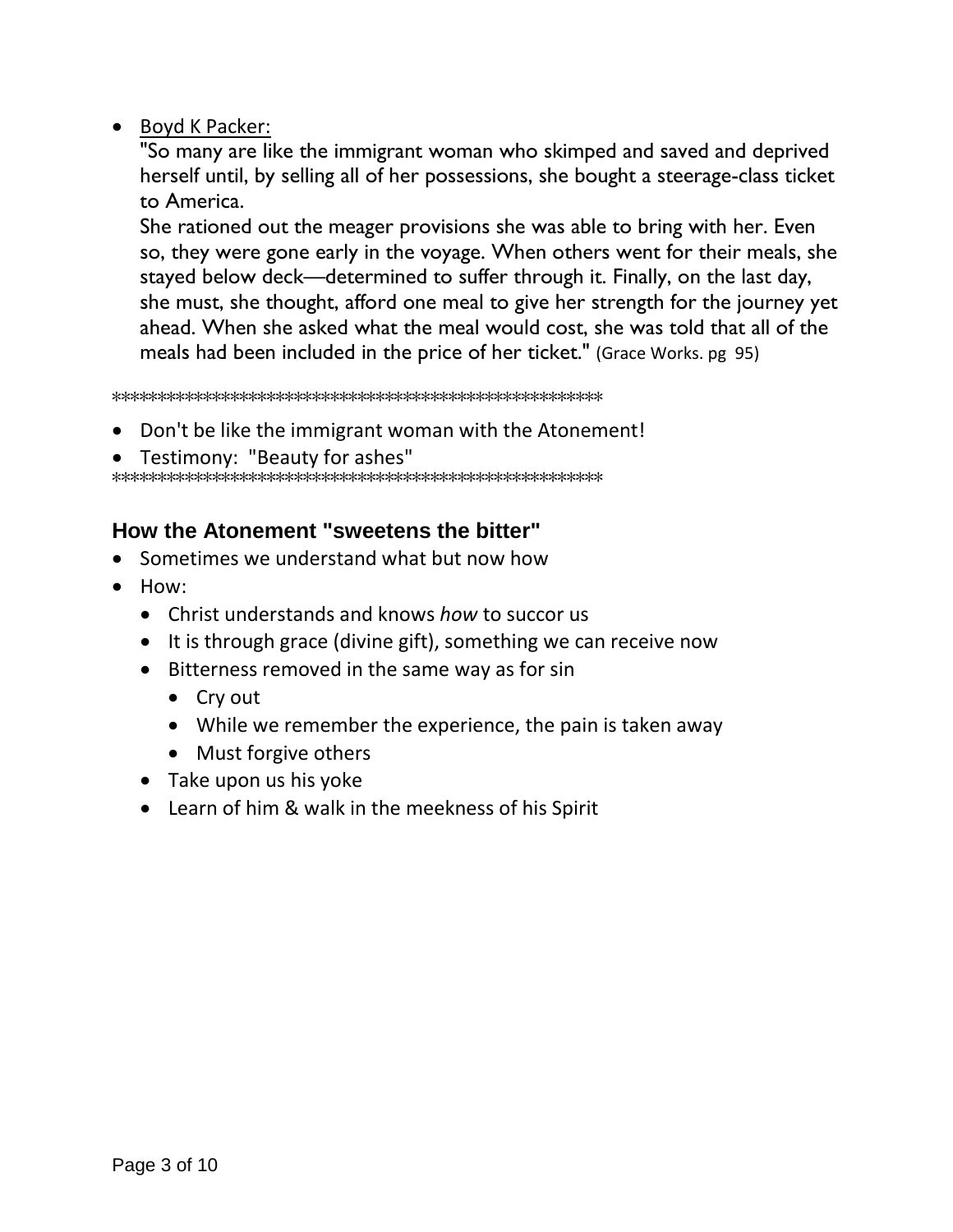### • Boyd K Packer:

"So many are like the immigrant woman who skimped and saved and deprived herself until, by selling all of her possessions, she bought a steerage-class ticket to America.

She rationed out the meager provisions she was able to bring with her. Even so, they were gone early in the voyage. When others went for their meals, she stayed below deck—determined to suffer through it. Finally, on the last day, she must, she thought, afford one meal to give her strength for the journey yet ahead. When she asked what the meal would cost, she was told that all of the meals had been included in the price of her ticket." (Grace Works. pg 95)

\*\*\*\*\*\*\*\*\*\*\*\*\*\*\*\*\*\*\*\*\*\*\*\*\*\*\*\*\*\*\*\*\*\*\*\*\*\*\*\*\*\*\*\*\*\*\*\*\*\*\*\*\*\*

- Don't be like the immigrant woman with the Atonement!
- Testimony: "Beauty for ashes"

\*\*\*\*\*\*\*\*\*\*\*\*\*\*\*\*\*\*\*\*\*\*\*\*\*\*\*\*\*\*\*\*\*\*\*\*\*\*\*\*\*\*\*\*\*\*\*\*\*\*\*\*\*\*

### <span id="page-2-0"></span>**How the Atonement "sweetens the bitter"**

- Sometimes we understand what but now how
- How:
	- Christ understands and knows *how* to succor us
	- It is through grace (divine gift), something we can receive now
	- Bitterness removed in the same way as for sin
		- Cry out
		- While we remember the experience, the pain is taken away
		- Must forgive others
	- Take upon us his yoke
	- Learn of him & walk in the meekness of his Spirit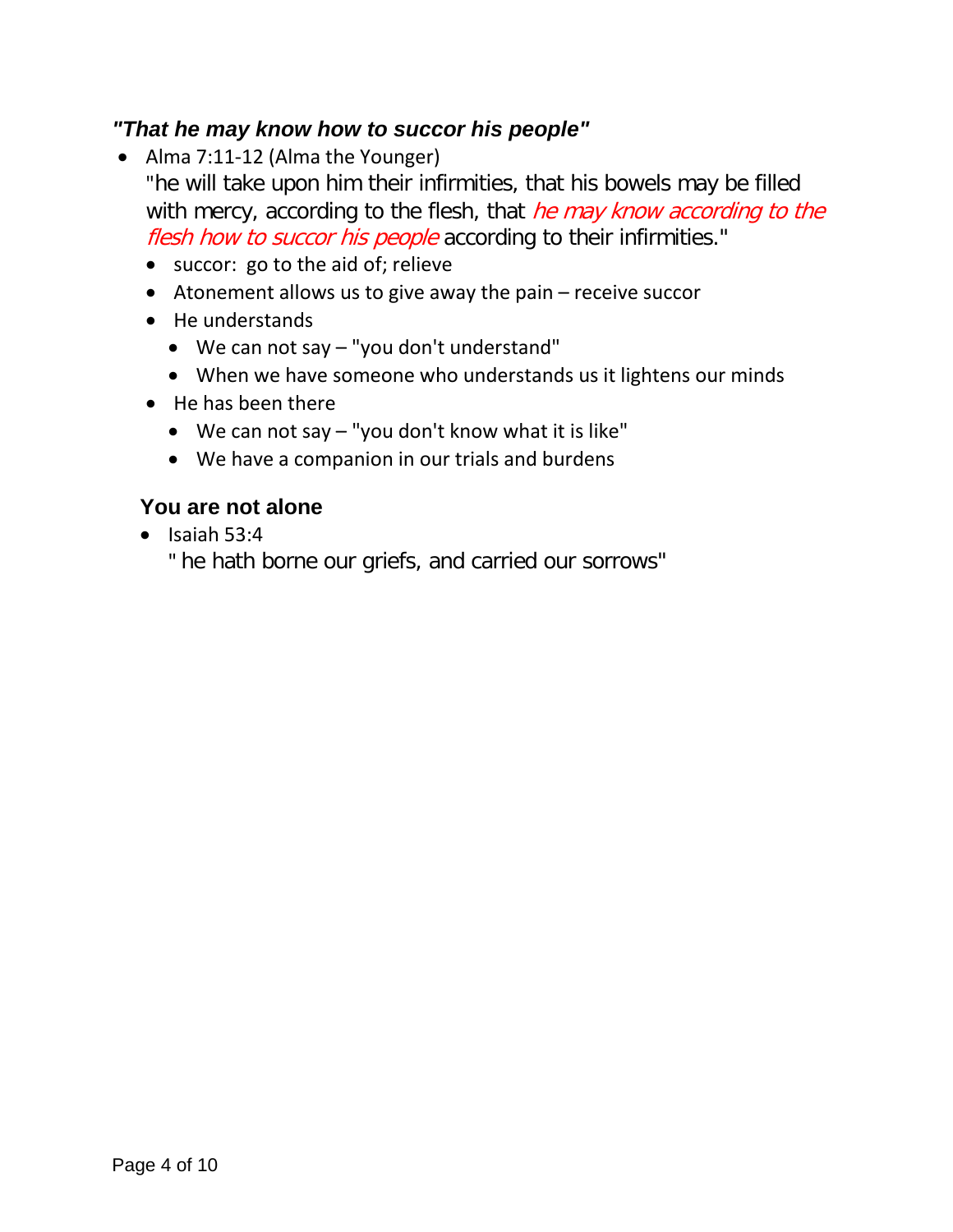## <span id="page-3-0"></span>*"That he may know how to succor his people"*

• Alma 7:11-12 (Alma the Younger)

"he will take upon him their infirmities, that his bowels may be filled with mercy, according to the flesh, that he may know according to the flesh how to succor his people according to their infirmities."

- succor: go to the aid of; relieve
- Atonement allows us to give away the pain receive succor
- He understands
	- We can not say "you don't understand"
	- When we have someone who understands us it lightens our minds
- He has been there
	- We can not say "you don't know what it is like"
	- We have a companion in our trials and burdens

## <span id="page-3-1"></span>**You are not alone**

 $\bullet$  Isaiah 53:4

" he hath borne our griefs, and carried our sorrows"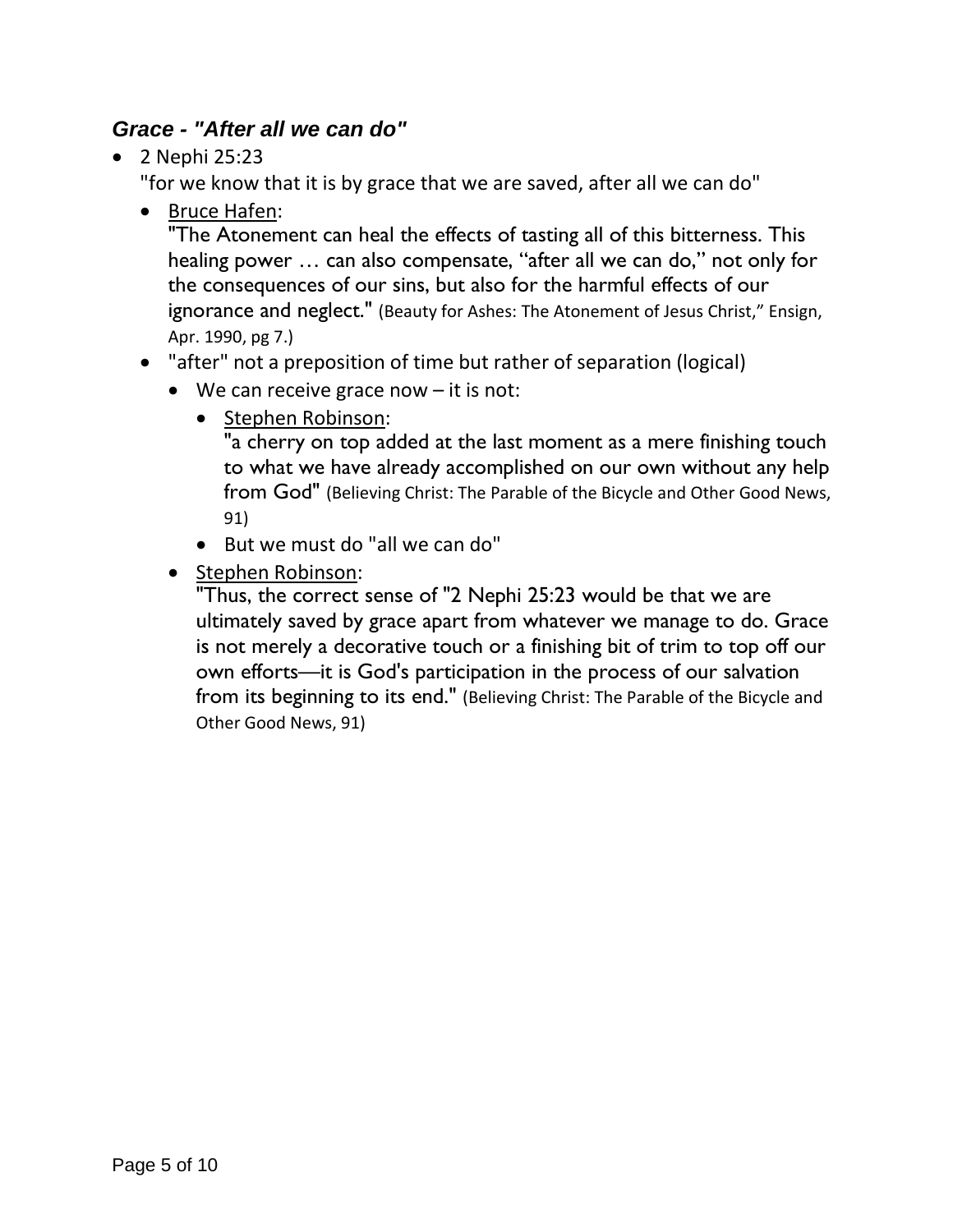## <span id="page-4-0"></span>*Grace - "After all we can do"*

• 2 Nephi 25:23

"for we know that it is by grace that we are saved, after all we can do"

• Bruce Hafen:

"The Atonement can heal the effects of tasting all of this bitterness. This healing power … can also compensate, "after all we can do," not only for the consequences of our sins, but also for the harmful effects of our ignorance and neglect." (Beauty for Ashes: The Atonement of Jesus Christ," Ensign, Apr. 1990, pg 7.)

- "after" not a preposition of time but rather of separation (logical)
	- We can receive grace now  $-$  it is not:
		- Stephen Robinson:

"a cherry on top added at the last moment as a mere finishing touch to what we have already accomplished on our own without any help from God" (Believing Christ: The Parable of the Bicycle and Other Good News, 91)

- But we must do "all we can do"
- Stephen Robinson:

"Thus, the correct sense of "2 Nephi 25:23 would be that we are ultimately saved by grace apart from whatever we manage to do. Grace is not merely a decorative touch or a finishing bit of trim to top off our own efforts—it is God's participation in the process of our salvation from its beginning to its end." (Believing Christ: The Parable of the Bicycle and Other Good News, 91)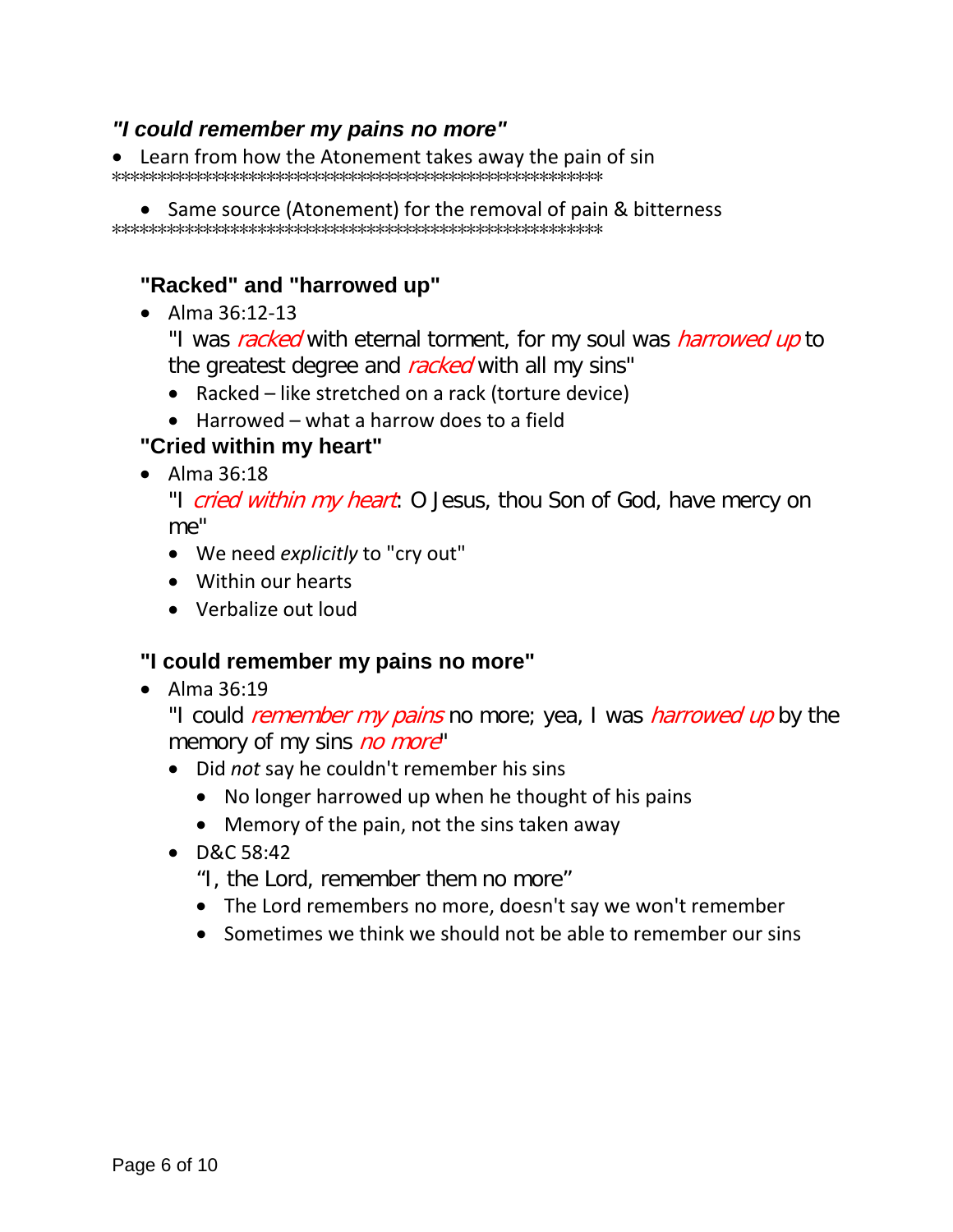### <span id="page-5-0"></span>*"I could remember my pains no more"*

• Learn from how the Atonement takes away the pain of sin \*\*\*\*\*\*\*\*\*\*\*\*\*\*\*\*\*\*\*\*\*\*\*\*\*\*\*\*\*\*\*\*\*\*\*\*\*\*\*\*\*\*\*\*\*\*\*\*\*\*\*\*\*\*

• Same source (Atonement) for the removal of pain & bitterness \*\*\*\*\*\*\*\*\*\*\*\*\*\*\*\*\*\*\*\*\*\*\*\*\*\*\*\*\*\*\*\*\*\*\*\*\*\*\*\*\*\*\*\*\*\*\*\*\*\*\*\*\*\*

### <span id="page-5-1"></span>**"Racked" and "harrowed up"**

• Alma 36:12-13

"I was racked with eternal torment, for my soul was *harrowed up* to the greatest degree and racked with all my sins"

- Racked like stretched on a rack (torture device)
- Harrowed what a harrow does to a field

### <span id="page-5-2"></span>**"Cried within my heart"**

• Alma 36:18

"I cried within my heart: O Jesus, thou Son of God, have mercy on me"

- We need *explicitly* to "cry out"
- Within our hearts
- Verbalize out loud

#### <span id="page-5-3"></span>**"I could remember my pains no more"**

• Alma 36:19

"I could *remember my pains* no more; yea, I was *harrowed up* by the memory of my sins no more"

- Did *not* say he couldn't remember his sins
	- No longer harrowed up when he thought of his pains
	- Memory of the pain, not the sins taken away
- D&C 58:42
	- "I, the Lord, remember them no more"
	- The Lord remembers no more, doesn't say we won't remember
	- Sometimes we think we should not be able to remember our sins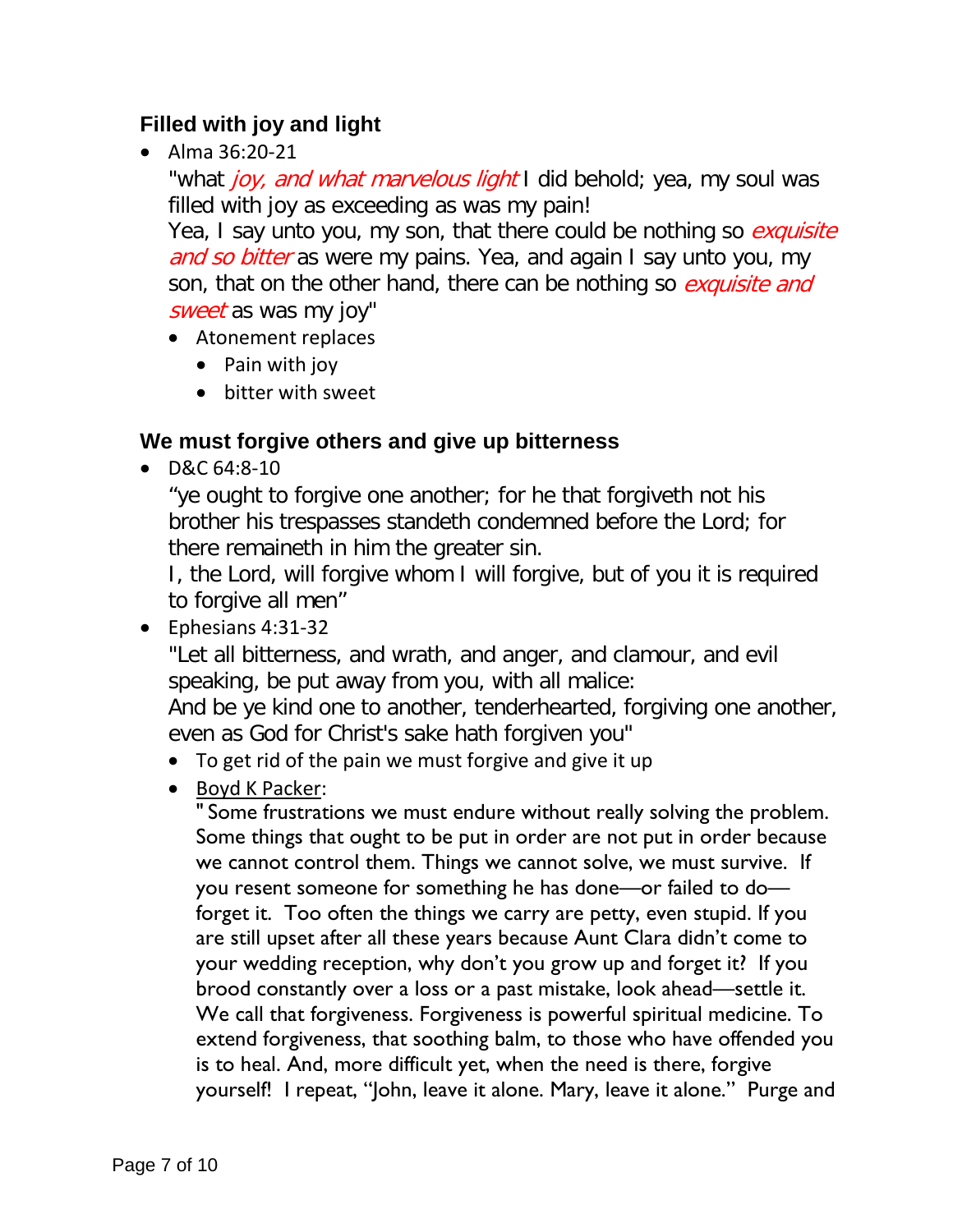## <span id="page-6-0"></span>**Filled with joy and light**

• Alma 36:20-21

"what joy, and what marvelous light I did behold; yea, my soul was filled with joy as exceeding as was my pain!

Yea, I say unto you, my son, that there could be nothing so exquisite and so bitter as were my pains. Yea, and again I say unto you, my son, that on the other hand, there can be nothing so *exquisite and* sweet as was my joy"

- Atonement replaces
	- Pain with joy
	- bitter with sweet

## <span id="page-6-1"></span>**We must forgive others and give up bitterness**

• D&C 64:8-10

"ye ought to forgive one another; for he that forgiveth not his brother his trespasses standeth condemned before the Lord; for there remaineth in him the greater sin.

I, the Lord, will forgive whom I will forgive, but of you it is required to forgive all men"

• Ephesians 4:31-32

"Let all bitterness, and wrath, and anger, and clamour, and evil speaking, be put away from you, with all malice:

And be ye kind one to another, tenderhearted, forgiving one another, even as God for Christ's sake hath forgiven you"

- To get rid of the pain we must forgive and give it up
- Boyd K Packer:

" Some frustrations we must endure without really solving the problem. Some things that ought to be put in order are not put in order because we cannot control them. Things we cannot solve, we must survive. If you resent someone for something he has done—or failed to do forget it. Too often the things we carry are petty, even stupid. If you are still upset after all these years because Aunt Clara didn't come to your wedding reception, why don't you grow up and forget it? If you brood constantly over a loss or a past mistake, look ahead—settle it. We call that forgiveness. Forgiveness is powerful spiritual medicine. To extend forgiveness, that soothing balm, to those who have offended you is to heal. And, more difficult yet, when the need is there, forgive yourself! I repeat, "John, leave it alone. Mary, leave it alone." Purge and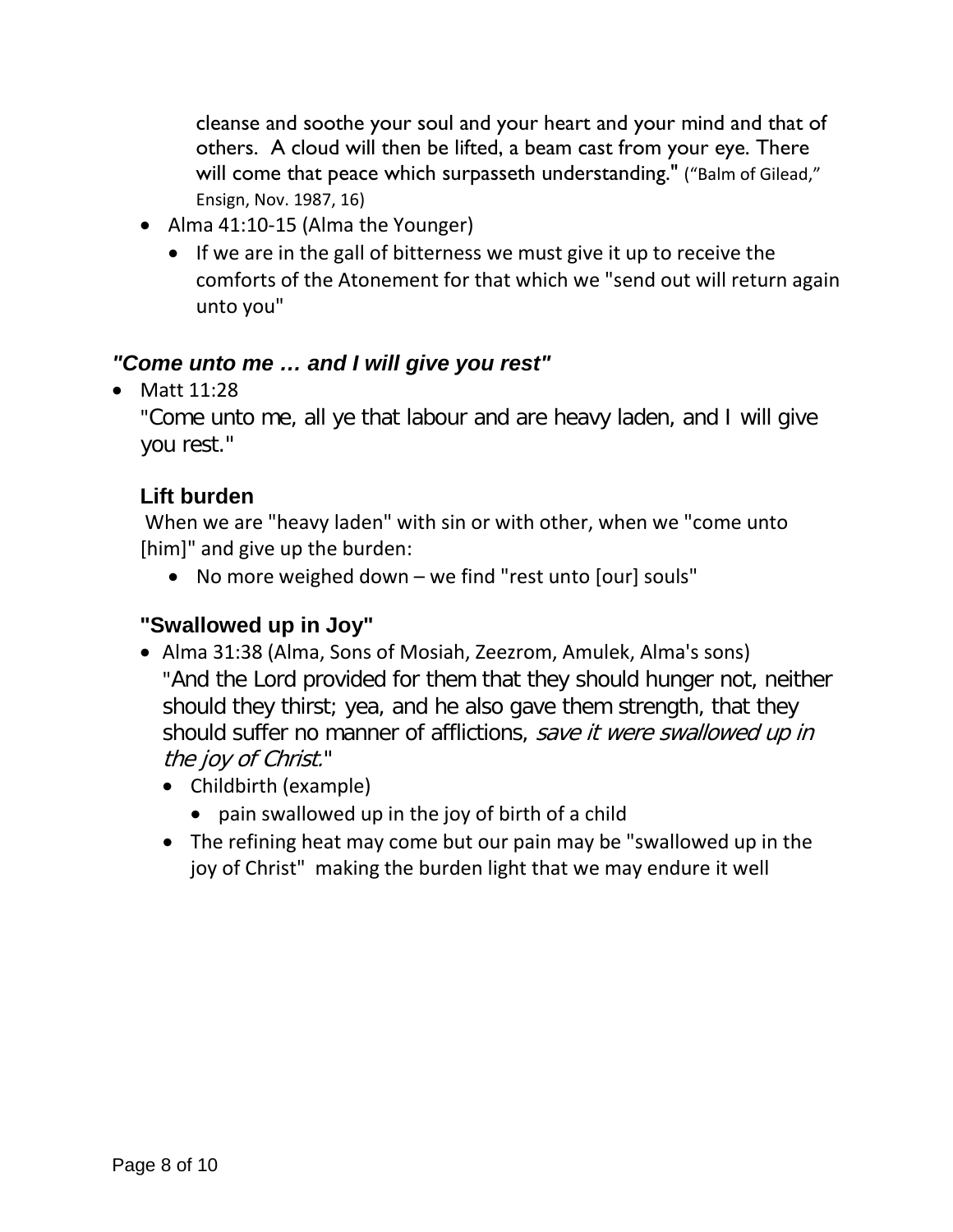cleanse and soothe your soul and your heart and your mind and that of others. A cloud will then be lifted, a beam cast from your eye. There will come that peace which surpasseth understanding." ("Balm of Gilead," Ensign, Nov. 1987, 16)

- Alma 41:10-15 (Alma the Younger)
	- If we are in the gall of bitterness we must give it up to receive the comforts of the Atonement for that which we "send out will return again unto you"

## <span id="page-7-0"></span>*"Come unto me … and I will give you rest"*

• Matt 11:28

"Come unto me, all ye that labour and are heavy laden, and I will give you rest."

## <span id="page-7-1"></span>**Lift burden**

When we are "heavy laden" with sin or with other, when we "come unto [him]" and give up the burden:

• No more weighed down – we find "rest unto [our] souls"

# <span id="page-7-2"></span>**"Swallowed up in Joy"**

- Alma 31:38 (Alma, Sons of Mosiah, Zeezrom, Amulek, Alma's sons) "And the Lord provided for them that they should hunger not, neither should they thirst; yea, and he also gave them strength, that they should suffer no manner of afflictions, save it were swallowed up in the joy of Christ."
	- Childbirth (example)
		- pain swallowed up in the joy of birth of a child
	- The refining heat may come but our pain may be "swallowed up in the joy of Christ" making the burden light that we may endure it well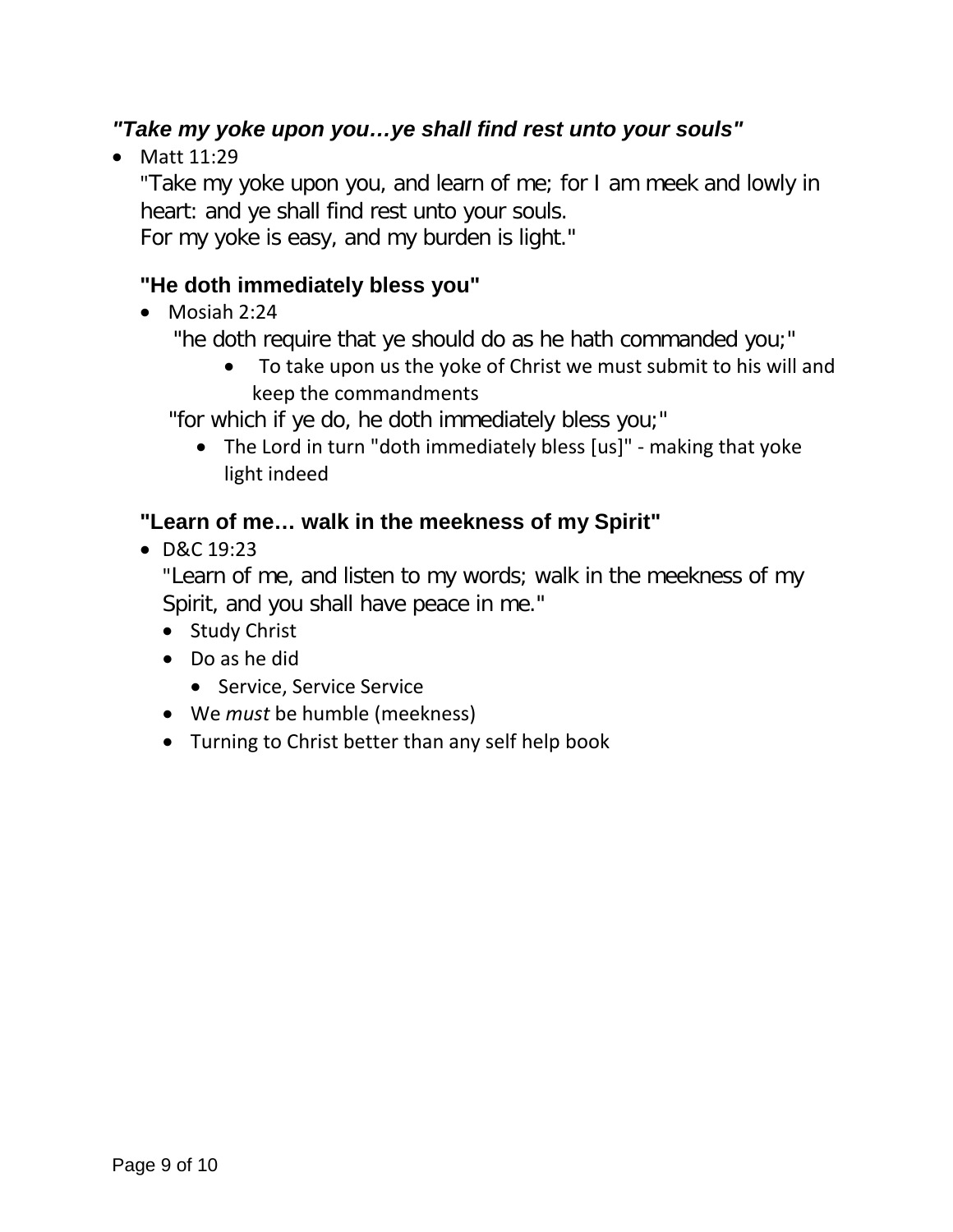# <span id="page-8-0"></span>*"Take my yoke upon you…ye shall find rest unto your souls"*

• Matt 11:29

"Take my yoke upon you, and learn of me; for I am meek and lowly in heart: and ye shall find rest unto your souls.

For my yoke is easy, and my burden is light."

## <span id="page-8-1"></span>**"He doth immediately bless you"**

• Mosiah 2:24

"he doth require that ye should do as he hath commanded you;"

• To take upon us the yoke of Christ we must submit to his will and keep the commandments

"for which if ye do, he doth immediately bless you;"

• The Lord in turn "doth immediately bless [us]" - making that yoke light indeed

## <span id="page-8-2"></span>**"Learn of me… walk in the meekness of my Spirit"**

• D&C 19:23

"Learn of me, and listen to my words; walk in the meekness of my Spirit, and you shall have peace in me."

- Study Christ
- Do as he did
	- Service, Service Service
- We *must* be humble (meekness)
- Turning to Christ better than any self help book